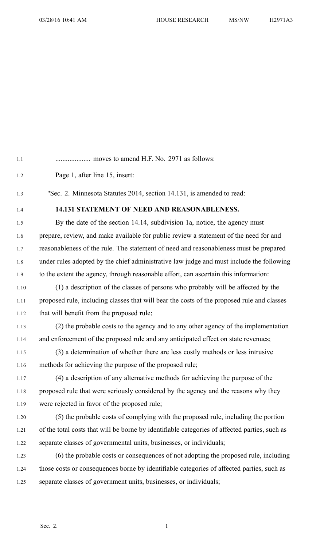| 1.2  | Page 1, after line 15, insert:                                                                |
|------|-----------------------------------------------------------------------------------------------|
| 1.3  | "Sec. 2. Minnesota Statutes 2014, section 14.131, is amended to read:                         |
| 1.4  | 14.131 STATEMENT OF NEED AND REASONABLENESS.                                                  |
| 1.5  | By the date of the section 14.14, subdivision 1a, notice, the agency must                     |
| 1.6  | prepare, review, and make available for public review a statement of the need for and         |
| 1.7  | reasonableness of the rule. The statement of need and reasonableness must be prepared         |
| 1.8  | under rules adopted by the chief administrative law judge and must include the following      |
| 1.9  | to the extent the agency, through reasonable effort, can ascertain this information:          |
| 1.10 | (1) a description of the classes of persons who probably will be affected by the              |
| 1.11 | proposed rule, including classes that will bear the costs of the proposed rule and classes    |
| 1.12 | that will benefit from the proposed rule;                                                     |
| 1.13 | (2) the probable costs to the agency and to any other agency of the implementation            |
| 1.14 | and enforcement of the proposed rule and any anticipated effect on state revenues;            |
| 1.15 | (3) a determination of whether there are less costly methods or less intrusive                |
| 1.16 | methods for achieving the purpose of the proposed rule;                                       |
| 1.17 | (4) a description of any alternative methods for achieving the purpose of the                 |
| 1.18 | proposed rule that were seriously considered by the agency and the reasons why they           |
| 1.19 | were rejected in favor of the proposed rule;                                                  |
| 1.20 | (5) the probable costs of complying with the proposed rule, including the portion             |
| 1.21 | of the total costs that will be borne by identifiable categories of affected parties, such as |
| 1.22 | separate classes of governmental units, businesses, or individuals;                           |
|      |                                                                                               |

1.1 .................... moves to amend H.F. No. 2971 as follows:

1.23 (6) the probable costs or consequences of not adopting the proposed rule, including 1.24 those costs or consequences borne by identifiable categories of affected parties, such as 1.25 separate classes of governmen<sup>t</sup> units, businesses, or individuals;